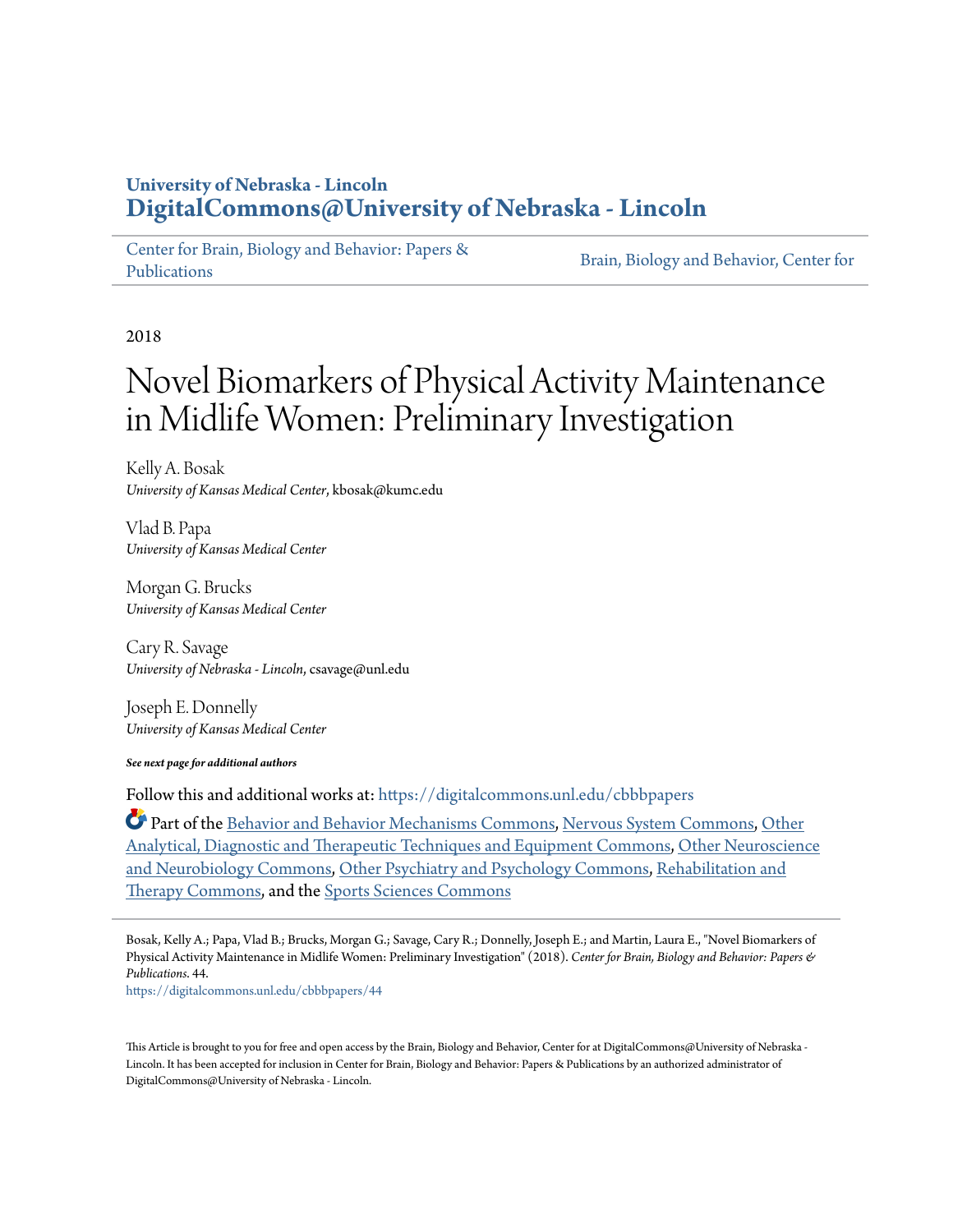## **University of Nebraska - Lincoln [DigitalCommons@University of Nebraska - Lincoln](https://digitalcommons.unl.edu?utm_source=digitalcommons.unl.edu%2Fcbbbpapers%2F44&utm_medium=PDF&utm_campaign=PDFCoverPages)**

[Center for Brain, Biology and Behavior: Papers &](https://digitalcommons.unl.edu/cbbbpapers?utm_source=digitalcommons.unl.edu%2Fcbbbpapers%2F44&utm_medium=PDF&utm_campaign=PDFCoverPages) [Publications](https://digitalcommons.unl.edu/cbbbpapers?utm_source=digitalcommons.unl.edu%2Fcbbbpapers%2F44&utm_medium=PDF&utm_campaign=PDFCoverPages)

[Brain, Biology and Behavior, Center for](https://digitalcommons.unl.edu/cbbb?utm_source=digitalcommons.unl.edu%2Fcbbbpapers%2F44&utm_medium=PDF&utm_campaign=PDFCoverPages)

2018

# Novel Biomarkers of Physical Activity Maintenance in Midlife Women: Preliminary Investigation

Kelly A. Bosak *University of Kansas Medical Center*, kbosak@kumc.edu

Vlad B. Papa *University of Kansas Medical Center*

Morgan G. Brucks *University of Kansas Medical Center*

Cary R. Savage *University of Nebraska - Lincoln*, csavage@unl.edu

Joseph E. Donnelly *University of Kansas Medical Center*

*See next page for additional authors*

Follow this and additional works at: [https://digitalcommons.unl.edu/cbbbpapers](https://digitalcommons.unl.edu/cbbbpapers?utm_source=digitalcommons.unl.edu%2Fcbbbpapers%2F44&utm_medium=PDF&utm_campaign=PDFCoverPages)

Part of the [Behavior and Behavior Mechanisms Commons,](http://network.bepress.com/hgg/discipline/963?utm_source=digitalcommons.unl.edu%2Fcbbbpapers%2F44&utm_medium=PDF&utm_campaign=PDFCoverPages) [Nervous System Commons,](http://network.bepress.com/hgg/discipline/949?utm_source=digitalcommons.unl.edu%2Fcbbbpapers%2F44&utm_medium=PDF&utm_campaign=PDFCoverPages) [Other](http://network.bepress.com/hgg/discipline/994?utm_source=digitalcommons.unl.edu%2Fcbbbpapers%2F44&utm_medium=PDF&utm_campaign=PDFCoverPages) [Analytical, Diagnostic and Therapeutic Techniques and Equipment Commons](http://network.bepress.com/hgg/discipline/994?utm_source=digitalcommons.unl.edu%2Fcbbbpapers%2F44&utm_medium=PDF&utm_campaign=PDFCoverPages), [Other Neuroscience](http://network.bepress.com/hgg/discipline/62?utm_source=digitalcommons.unl.edu%2Fcbbbpapers%2F44&utm_medium=PDF&utm_campaign=PDFCoverPages) [and Neurobiology Commons](http://network.bepress.com/hgg/discipline/62?utm_source=digitalcommons.unl.edu%2Fcbbbpapers%2F44&utm_medium=PDF&utm_campaign=PDFCoverPages), [Other Psychiatry and Psychology Commons](http://network.bepress.com/hgg/discipline/992?utm_source=digitalcommons.unl.edu%2Fcbbbpapers%2F44&utm_medium=PDF&utm_campaign=PDFCoverPages), [Rehabilitation and](http://network.bepress.com/hgg/discipline/749?utm_source=digitalcommons.unl.edu%2Fcbbbpapers%2F44&utm_medium=PDF&utm_campaign=PDFCoverPages) [Therapy Commons,](http://network.bepress.com/hgg/discipline/749?utm_source=digitalcommons.unl.edu%2Fcbbbpapers%2F44&utm_medium=PDF&utm_campaign=PDFCoverPages) and the [Sports Sciences Commons](http://network.bepress.com/hgg/discipline/759?utm_source=digitalcommons.unl.edu%2Fcbbbpapers%2F44&utm_medium=PDF&utm_campaign=PDFCoverPages)

Bosak, Kelly A.; Papa, Vlad B.; Brucks, Morgan G.; Savage, Cary R.; Donnelly, Joseph E.; and Martin, Laura E., "Novel Biomarkers of Physical Activity Maintenance in Midlife Women: Preliminary Investigation" (2018). *Center for Brain, Biology and Behavior: Papers & Publications*. 44.

[https://digitalcommons.unl.edu/cbbbpapers/44](https://digitalcommons.unl.edu/cbbbpapers/44?utm_source=digitalcommons.unl.edu%2Fcbbbpapers%2F44&utm_medium=PDF&utm_campaign=PDFCoverPages)

This Article is brought to you for free and open access by the Brain, Biology and Behavior, Center for at DigitalCommons@University of Nebraska -Lincoln. It has been accepted for inclusion in Center for Brain, Biology and Behavior: Papers & Publications by an authorized administrator of DigitalCommons@University of Nebraska - Lincoln.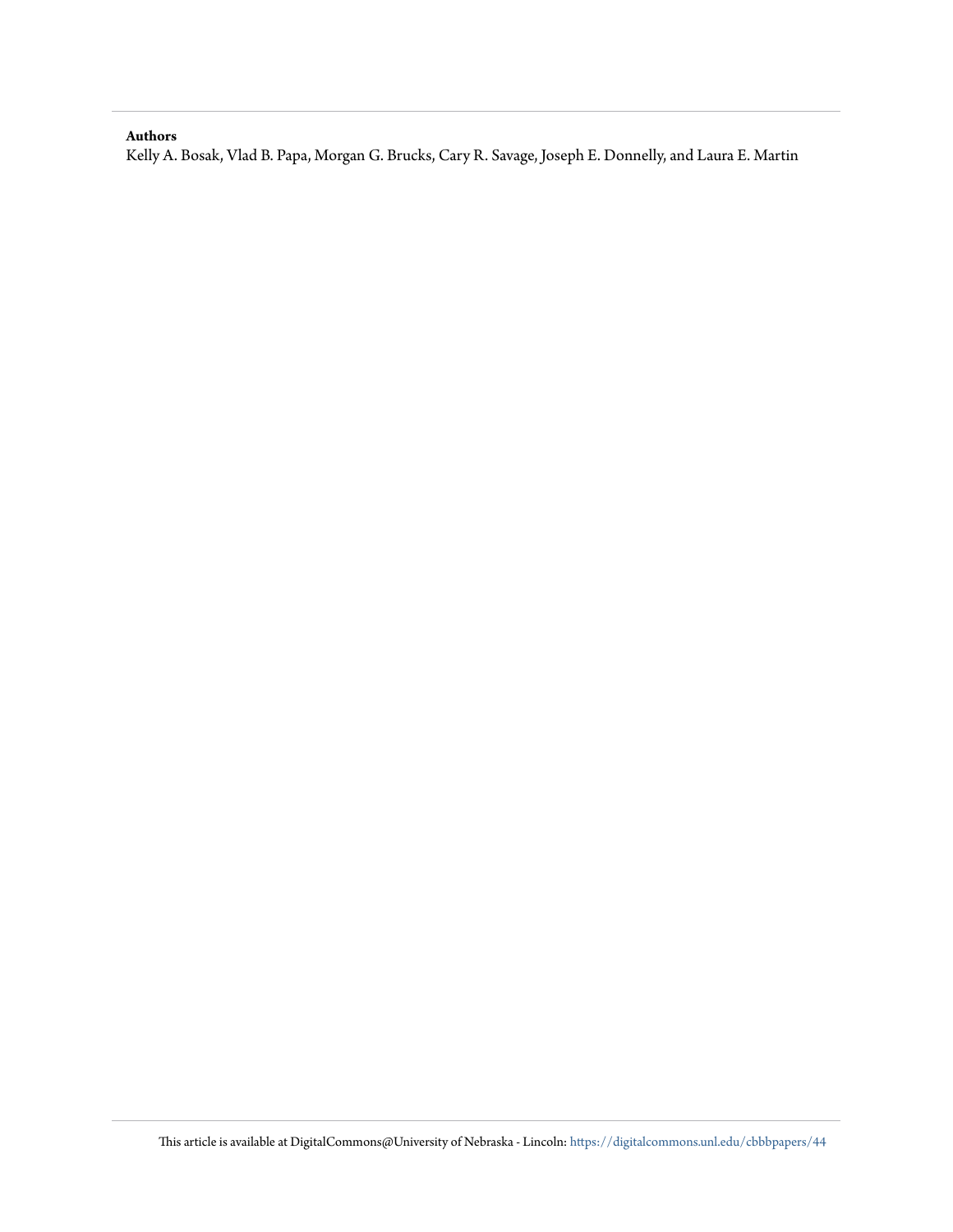#### **Authors**

Kelly A. Bosak, Vlad B. Papa, Morgan G. Brucks, Cary R. Savage, Joseph E. Donnelly, and Laura E. Martin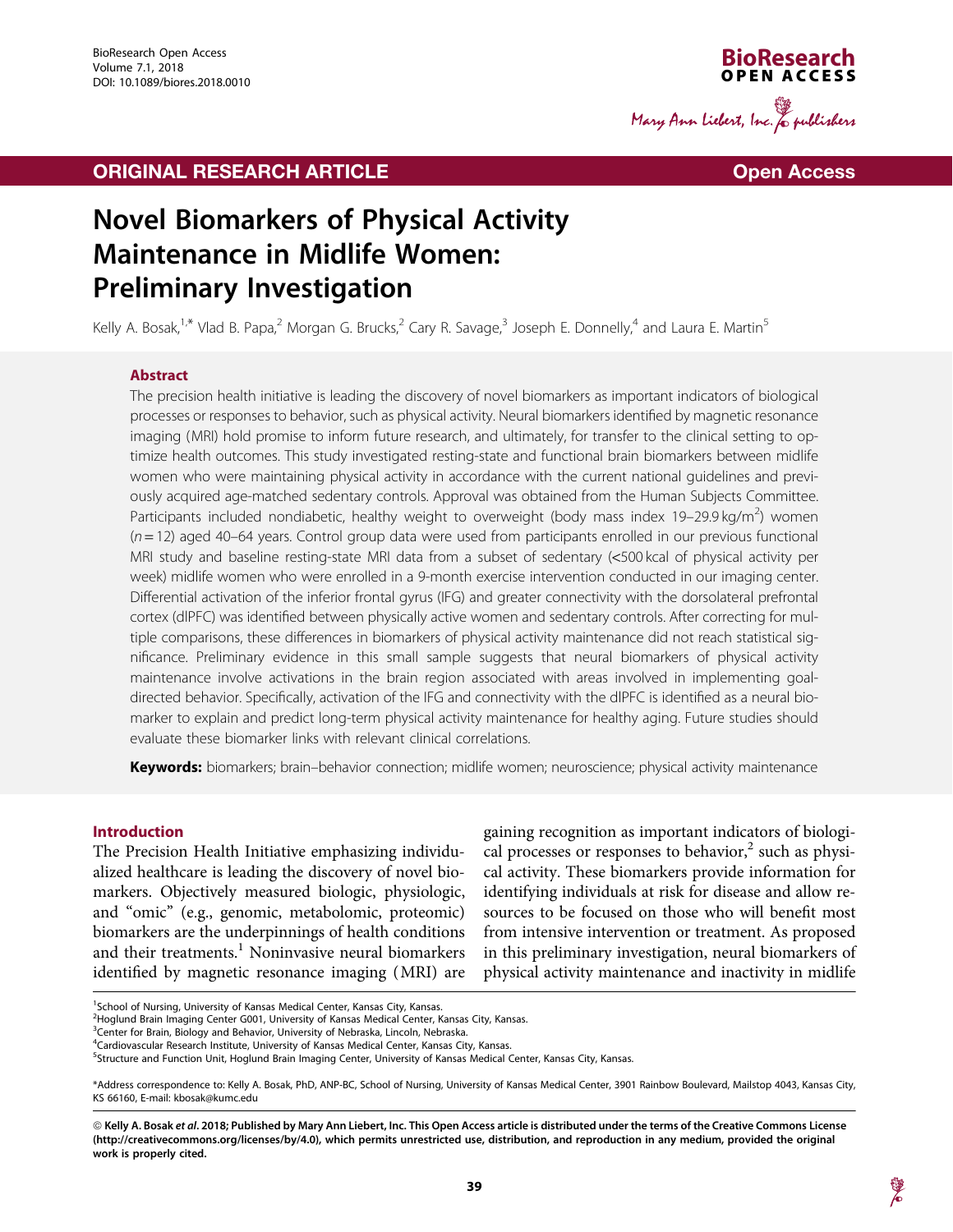## **ORIGINAL RESEARCH ARTICLE CONSUMING ACCESS**



## Novel Biomarkers of Physical Activity Maintenance in Midlife Women: Preliminary Investigation

Kelly A. Bosak,<sup>1,\*</sup> Vlad B. Papa,<sup>2</sup> Morgan G. Brucks,<sup>2</sup> Cary R. Savage,<sup>3</sup> Joseph E. Donnelly,<sup>4</sup> and Laura E. Martin<sup>5</sup>

#### Abstract

The precision health initiative is leading the discovery of novel biomarkers as important indicators of biological processes or responses to behavior, such as physical activity. Neural biomarkers identified by magnetic resonance imaging (MRI) hold promise to inform future research, and ultimately, for transfer to the clinical setting to optimize health outcomes. This study investigated resting-state and functional brain biomarkers between midlife women who were maintaining physical activity in accordance with the current national guidelines and previously acquired age-matched sedentary controls. Approval was obtained from the Human Subjects Committee. Participants included nondiabetic, healthy weight to overweight (body mass index 19–29.9 kg/m<sup>2</sup>) women  $(n=12)$  aged 40–64 years. Control group data were used from participants enrolled in our previous functional MRI study and baseline resting-state MRI data from a subset of sedentary (<500 kcal of physical activity per week) midlife women who were enrolled in a 9-month exercise intervention conducted in our imaging center. Differential activation of the inferior frontal gyrus (IFG) and greater connectivity with the dorsolateral prefrontal cortex (dlPFC) was identified between physically active women and sedentary controls. After correcting for multiple comparisons, these differences in biomarkers of physical activity maintenance did not reach statistical significance. Preliminary evidence in this small sample suggests that neural biomarkers of physical activity maintenance involve activations in the brain region associated with areas involved in implementing goaldirected behavior. Specifically, activation of the IFG and connectivity with the dlPFC is identified as a neural biomarker to explain and predict long-term physical activity maintenance for healthy aging. Future studies should evaluate these biomarker links with relevant clinical correlations.

Keywords: biomarkers; brain–behavior connection; midlife women; neuroscience; physical activity maintenance

#### Introduction

The Precision Health Initiative emphasizing individualized healthcare is leading the discovery of novel biomarkers. Objectively measured biologic, physiologic, and ''omic'' (e.g., genomic, metabolomic, proteomic) biomarkers are the underpinnings of health conditions and their treatments.<sup>1</sup> Noninvasive neural biomarkers identified by magnetic resonance imaging (MRI) are

gaining recognition as important indicators of biological processes or responses to behavior, $2$  such as physical activity. These biomarkers provide information for identifying individuals at risk for disease and allow resources to be focused on those who will benefit most from intensive intervention or treatment. As proposed in this preliminary investigation, neural biomarkers of physical activity maintenance and inactivity in midlife

<sup>&</sup>lt;sup>1</sup>School of Nursing, University of Kansas Medical Center, Kansas City, Kansas.

<sup>&</sup>lt;sup>2</sup>Hoglund Brain Imaging Center G001, University of Kansas Medical Center, Kansas City, Kansas.

<sup>&</sup>lt;sup>3</sup> Center for Brain, Biology and Behavior, University of Nebraska, Lincoln, Nebraska.

<sup>4</sup> Cardiovascular Research Institute, University of Kansas Medical Center, Kansas City, Kansas.

<sup>5</sup> Structure and Function Unit, Hoglund Brain Imaging Center, University of Kansas Medical Center, Kansas City, Kansas.

<sup>\*</sup>Address correspondence to: Kelly A. Bosak, PhD, ANP-BC, School of Nursing, University of Kansas Medical Center, 3901 Rainbow Boulevard, Mailstop 4043, Kansas City, KS 66160, E-mail: kbosak@kumc.edu

<sup>©</sup> Kelly A. Bosak et al. 2018; Published by Mary Ann Liebert, Inc. This Open Access article is distributed under the terms of the Creative Commons License (http://creativecommons.org/licenses/by/4.0), which permits unrestricted use, distribution, and reproduction in any medium, provided the original work is properly cited.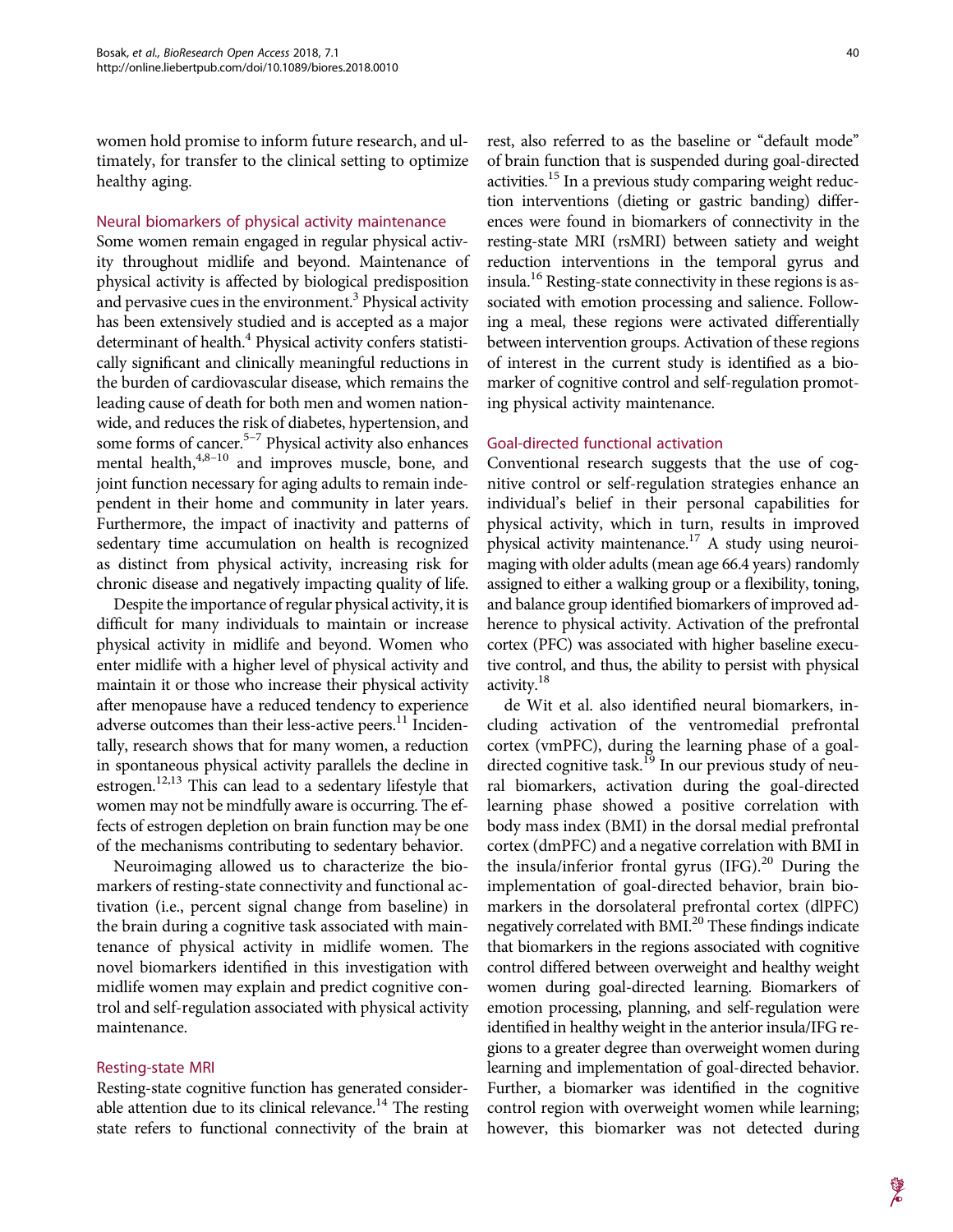women hold promise to inform future research, and ultimately, for transfer to the clinical setting to optimize healthy aging.

#### Neural biomarkers of physical activity maintenance

Some women remain engaged in regular physical activity throughout midlife and beyond. Maintenance of physical activity is affected by biological predisposition and pervasive cues in the environment.<sup>3</sup> Physical activity has been extensively studied and is accepted as a major determinant of health.<sup>4</sup> Physical activity confers statistically significant and clinically meaningful reductions in the burden of cardiovascular disease, which remains the leading cause of death for both men and women nationwide, and reduces the risk of diabetes, hypertension, and some forms of cancer.<sup>5–7</sup> Physical activity also enhances mental health, $4,8-10$  and improves muscle, bone, and joint function necessary for aging adults to remain independent in their home and community in later years. Furthermore, the impact of inactivity and patterns of sedentary time accumulation on health is recognized as distinct from physical activity, increasing risk for chronic disease and negatively impacting quality of life.

Despite the importance of regular physical activity, it is difficult for many individuals to maintain or increase physical activity in midlife and beyond. Women who enter midlife with a higher level of physical activity and maintain it or those who increase their physical activity after menopause have a reduced tendency to experience adverse outcomes than their less-active peers.<sup>11</sup> Incidentally, research shows that for many women, a reduction in spontaneous physical activity parallels the decline in estrogen.<sup>12,13</sup> This can lead to a sedentary lifestyle that women may not be mindfully aware is occurring. The effects of estrogen depletion on brain function may be one of the mechanisms contributing to sedentary behavior.

Neuroimaging allowed us to characterize the biomarkers of resting-state connectivity and functional activation (i.e., percent signal change from baseline) in the brain during a cognitive task associated with maintenance of physical activity in midlife women. The novel biomarkers identified in this investigation with midlife women may explain and predict cognitive control and self-regulation associated with physical activity maintenance.

#### Resting-state MRI

Resting-state cognitive function has generated considerable attention due to its clinical relevance.<sup>14</sup> The resting state refers to functional connectivity of the brain at rest, also referred to as the baseline or ''default mode'' of brain function that is suspended during goal-directed activities.<sup>15</sup> In a previous study comparing weight reduction interventions (dieting or gastric banding) differences were found in biomarkers of connectivity in the resting-state MRI (rsMRI) between satiety and weight reduction interventions in the temporal gyrus and insula.<sup>16</sup> Resting-state connectivity in these regions is associated with emotion processing and salience. Following a meal, these regions were activated differentially between intervention groups. Activation of these regions of interest in the current study is identified as a biomarker of cognitive control and self-regulation promoting physical activity maintenance.

#### Goal-directed functional activation

Conventional research suggests that the use of cognitive control or self-regulation strategies enhance an individual's belief in their personal capabilities for physical activity, which in turn, results in improved physical activity maintenance.<sup>17</sup> A study using neuroimaging with older adults (mean age 66.4 years) randomly assigned to either a walking group or a flexibility, toning, and balance group identified biomarkers of improved adherence to physical activity. Activation of the prefrontal cortex (PFC) was associated with higher baseline executive control, and thus, the ability to persist with physical activity.<sup>18</sup>

de Wit et al. also identified neural biomarkers, including activation of the ventromedial prefrontal cortex (vmPFC), during the learning phase of a goaldirected cognitive task.<sup>19</sup> In our previous study of neural biomarkers, activation during the goal-directed learning phase showed a positive correlation with body mass index (BMI) in the dorsal medial prefrontal cortex (dmPFC) and a negative correlation with BMI in the insula/inferior frontal gyrus (IFG).<sup>20</sup> During the implementation of goal-directed behavior, brain biomarkers in the dorsolateral prefrontal cortex (dlPFC) negatively correlated with BMI.<sup>20</sup> These findings indicate that biomarkers in the regions associated with cognitive control differed between overweight and healthy weight women during goal-directed learning. Biomarkers of emotion processing, planning, and self-regulation were identified in healthy weight in the anterior insula/IFG regions to a greater degree than overweight women during learning and implementation of goal-directed behavior. Further, a biomarker was identified in the cognitive control region with overweight women while learning; however, this biomarker was not detected during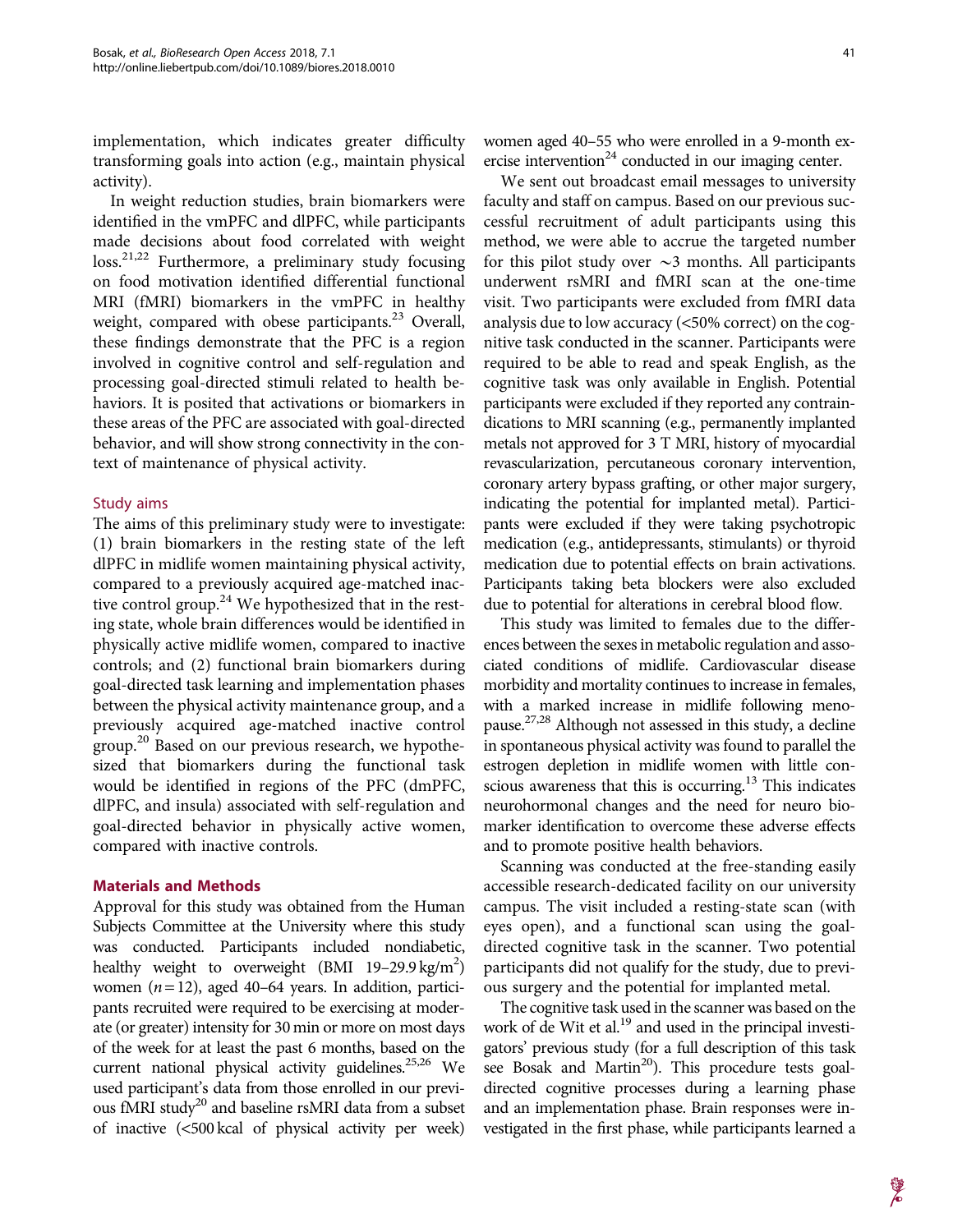implementation, which indicates greater difficulty transforming goals into action (e.g., maintain physical activity).

In weight reduction studies, brain biomarkers were identified in the vmPFC and dlPFC, while participants made decisions about food correlated with weight loss.<sup>21,22</sup> Furthermore, a preliminary study focusing on food motivation identified differential functional MRI (fMRI) biomarkers in the vmPFC in healthy weight, compared with obese participants.<sup>23</sup> Overall, these findings demonstrate that the PFC is a region involved in cognitive control and self-regulation and processing goal-directed stimuli related to health behaviors. It is posited that activations or biomarkers in these areas of the PFC are associated with goal-directed behavior, and will show strong connectivity in the context of maintenance of physical activity.

#### Study aims

The aims of this preliminary study were to investigate: (1) brain biomarkers in the resting state of the left dlPFC in midlife women maintaining physical activity, compared to a previously acquired age-matched inactive control group. $24$  We hypothesized that in the resting state, whole brain differences would be identified in physically active midlife women, compared to inactive controls; and (2) functional brain biomarkers during goal-directed task learning and implementation phases between the physical activity maintenance group, and a previously acquired age-matched inactive control group.<sup>20</sup> Based on our previous research, we hypothesized that biomarkers during the functional task would be identified in regions of the PFC (dmPFC, dlPFC, and insula) associated with self-regulation and goal-directed behavior in physically active women, compared with inactive controls.

#### Materials and Methods

Approval for this study was obtained from the Human Subjects Committee at the University where this study was conducted. Participants included nondiabetic, healthy weight to overweight (BMI 19-29.9 kg/m<sup>2</sup>) women  $(n=12)$ , aged 40–64 years. In addition, participants recruited were required to be exercising at moderate (or greater) intensity for 30 min or more on most days of the week for at least the past 6 months, based on the current national physical activity guidelines.<sup>25,26</sup> We used participant's data from those enrolled in our previous fMRI study<sup>20</sup> and baseline rsMRI data from a subset of inactive (<500 kcal of physical activity per week)

women aged 40–55 who were enrolled in a 9-month exercise intervention<sup>24</sup> conducted in our imaging center.

We sent out broadcast email messages to university faculty and staff on campus. Based on our previous successful recruitment of adult participants using this method, we were able to accrue the targeted number for this pilot study over  $\sim$ 3 months. All participants underwent rsMRI and fMRI scan at the one-time visit. Two participants were excluded from fMRI data analysis due to low accuracy (<50% correct) on the cognitive task conducted in the scanner. Participants were required to be able to read and speak English, as the cognitive task was only available in English. Potential participants were excluded if they reported any contraindications to MRI scanning (e.g., permanently implanted metals not approved for 3 T MRI, history of myocardial revascularization, percutaneous coronary intervention, coronary artery bypass grafting, or other major surgery, indicating the potential for implanted metal). Participants were excluded if they were taking psychotropic medication (e.g., antidepressants, stimulants) or thyroid medication due to potential effects on brain activations. Participants taking beta blockers were also excluded due to potential for alterations in cerebral blood flow.

This study was limited to females due to the differences between the sexes in metabolic regulation and associated conditions of midlife. Cardiovascular disease morbidity and mortality continues to increase in females, with a marked increase in midlife following menopause.<sup>27,28</sup> Although not assessed in this study, a decline in spontaneous physical activity was found to parallel the estrogen depletion in midlife women with little conscious awareness that this is occurring. $13$  This indicates neurohormonal changes and the need for neuro biomarker identification to overcome these adverse effects and to promote positive health behaviors.

Scanning was conducted at the free-standing easily accessible research-dedicated facility on our university campus. The visit included a resting-state scan (with eyes open), and a functional scan using the goaldirected cognitive task in the scanner. Two potential participants did not qualify for the study, due to previous surgery and the potential for implanted metal.

The cognitive task used in the scanner was based on the work of de Wit et al.<sup>19</sup> and used in the principal investigators' previous study (for a full description of this task see Bosak and Martin<sup>20</sup>). This procedure tests goaldirected cognitive processes during a learning phase and an implementation phase. Brain responses were investigated in the first phase, while participants learned a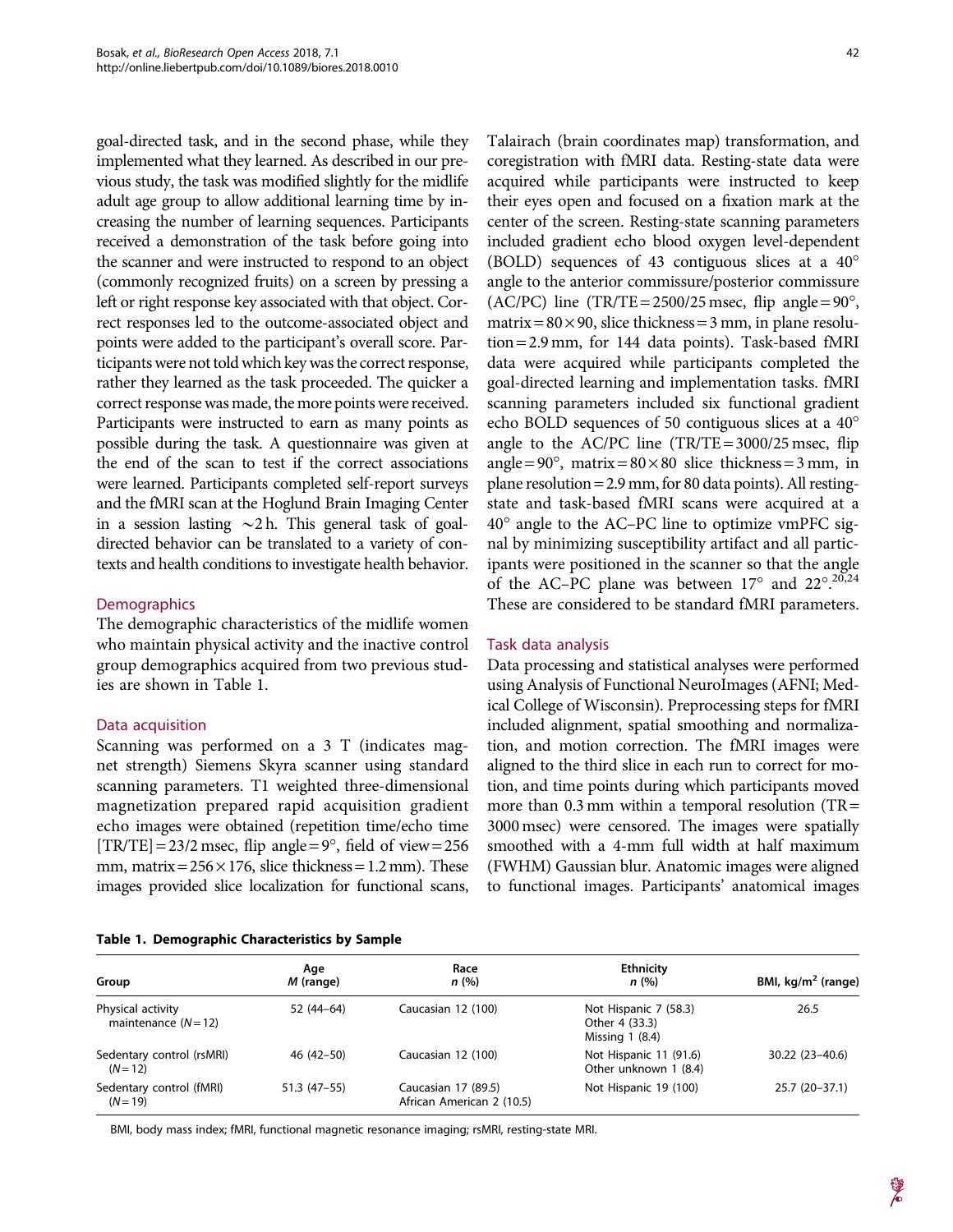goal-directed task, and in the second phase, while they implemented what they learned. As described in our previous study, the task was modified slightly for the midlife adult age group to allow additional learning time by increasing the number of learning sequences. Participants received a demonstration of the task before going into the scanner and were instructed to respond to an object (commonly recognized fruits) on a screen by pressing a left or right response key associated with that object. Correct responses led to the outcome-associated object and points were added to the participant's overall score. Participants were not told which key was the correct response, rather they learned as the task proceeded. The quicker a correct response was made, the more points were received. Participants were instructed to earn as many points as possible during the task. A questionnaire was given at the end of the scan to test if the correct associations were learned. Participants completed self-report surveys and the fMRI scan at the Hoglund Brain Imaging Center in a session lasting  $\sim$ 2 h. This general task of goaldirected behavior can be translated to a variety of contexts and health conditions to investigate health behavior.

#### **Demographics**

The demographic characteristics of the midlife women who maintain physical activity and the inactive control group demographics acquired from two previous studies are shown in Table 1.

#### Data acquisition

Scanning was performed on a 3 T (indicates magnet strength) Siemens Skyra scanner using standard scanning parameters. T1 weighted three-dimensional magnetization prepared rapid acquisition gradient echo images were obtained (repetition time/echo time  $[TR/TE] = 23/2$  msec, flip angle = 9°, field of view = 256 mm, matrix =  $256 \times 176$ , slice thickness = 1.2 mm). These images provided slice localization for functional scans,

Table 1. Demographic Characteristics by Sample

Talairach (brain coordinates map) transformation, and coregistration with fMRI data. Resting-state data were acquired while participants were instructed to keep their eyes open and focused on a fixation mark at the center of the screen. Resting-state scanning parameters included gradient echo blood oxygen level-dependent (BOLD) sequences of 43 contiguous slices at a  $40^{\circ}$ angle to the anterior commissure/posterior commissure  $(AC/PC)$  line  $(TR/TE = 2500/25$  msec, flip angle = 90°, matrix =  $80 \times 90$ , slice thickness = 3 mm, in plane resolution = 2.9 mm, for 144 data points). Task-based fMRI data were acquired while participants completed the goal-directed learning and implementation tasks. fMRI scanning parameters included six functional gradient echo BOLD sequences of 50 contiguous slices at a 40° angle to the AC/PC line  $(TR/TE = 3000/25$  msec, flip angle =  $90^{\circ}$ , matrix =  $80 \times 80$  slice thickness =  $3$  mm, in plane resolution = 2.9 mm, for 80 data points). All restingstate and task-based fMRI scans were acquired at a 40° angle to the AC-PC line to optimize vmPFC signal by minimizing susceptibility artifact and all participants were positioned in the scanner so that the angle of the AC–PC plane was between  $17^{\circ}$  and  $22^{\circ}$ <sup>20,24</sup> These are considered to be standard fMRI parameters.

#### Task data analysis

Data processing and statistical analyses were performed using Analysis of Functional NeuroImages (AFNI; Medical College of Wisconsin). Preprocessing steps for fMRI included alignment, spatial smoothing and normalization, and motion correction. The fMRI images were aligned to the third slice in each run to correct for motion, and time points during which participants moved more than 0.3 mm within a temporal resolution (TR= 3000 msec) were censored. The images were spatially smoothed with a 4-mm full width at half maximum (FWHM) Gaussian blur. Anatomic images were aligned to functional images. Participants' anatomical images

| Group                                     | Age<br>M (range) | Race<br>n(%)                                     | <b>Ethnicity</b><br>n(%)                                    | BMI, $kg/m2$ (range) |
|-------------------------------------------|------------------|--------------------------------------------------|-------------------------------------------------------------|----------------------|
| Physical activity<br>maintenance $(N=12)$ | 52 (44-64)       | Caucasian 12 (100)                               | Not Hispanic 7 (58.3)<br>Other 4 (33.3)<br>Missing $1(8.4)$ | 26.5                 |
| Sedentary control (rsMRI)<br>$(N=12)$     | 46 (42-50)       | Caucasian 12 (100)                               | Not Hispanic 11 (91.6)<br>Other unknown 1 (8.4)             | 30.22 (23-40.6)      |
| Sedentary control (fMRI)<br>$(N=19)$      | $51.3(47-55)$    | Caucasian 17 (89.5)<br>African American 2 (10.5) | Not Hispanic 19 (100)                                       | 25.7 (20-37.1)       |

BMI, body mass index; fMRI, functional magnetic resonance imaging; rsMRI, resting-state MRI.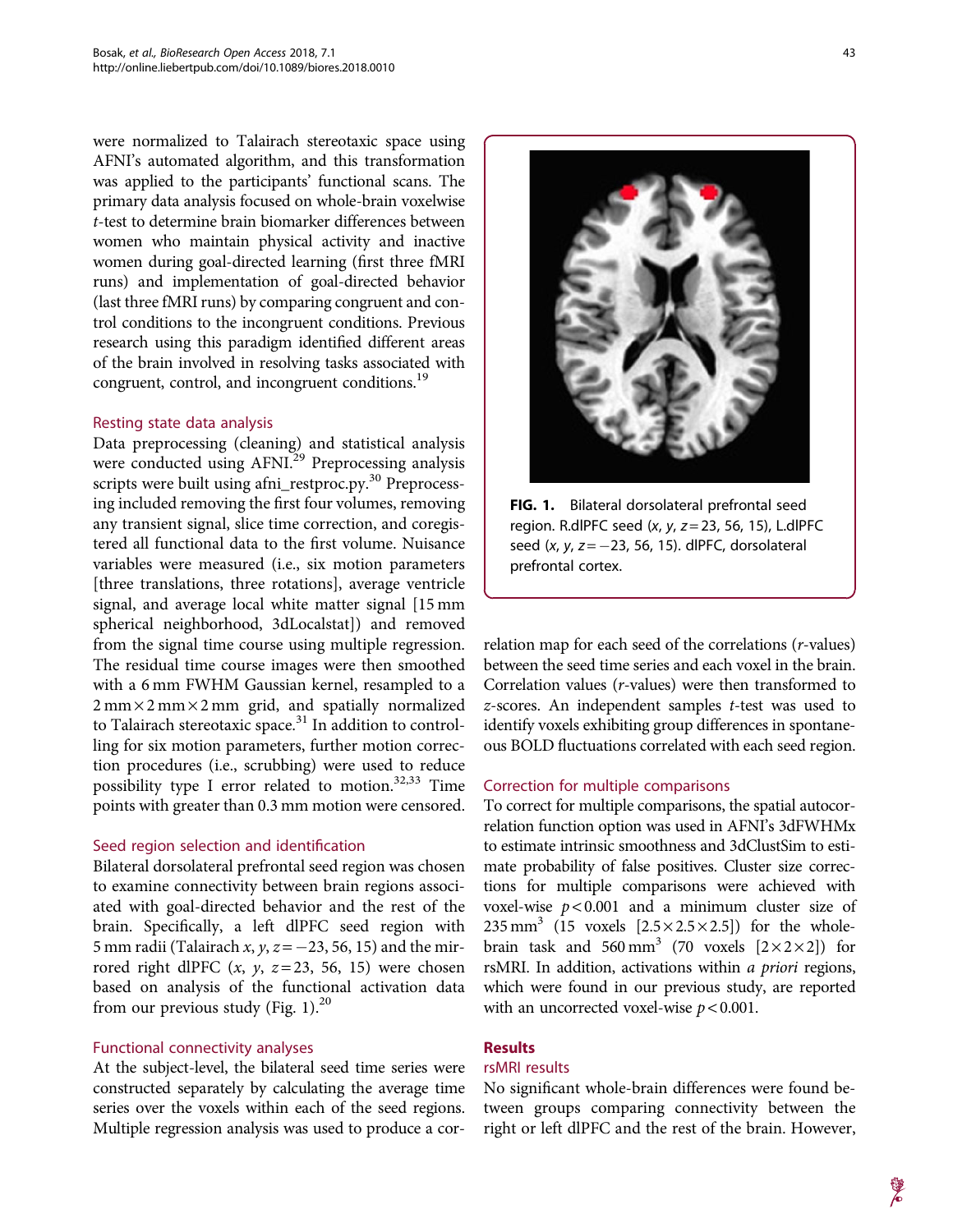were normalized to Talairach stereotaxic space using AFNI's automated algorithm, and this transformation was applied to the participants' functional scans. The primary data analysis focused on whole-brain voxelwise t-test to determine brain biomarker differences between women who maintain physical activity and inactive women during goal-directed learning (first three fMRI runs) and implementation of goal-directed behavior (last three fMRI runs) by comparing congruent and control conditions to the incongruent conditions. Previous research using this paradigm identified different areas of the brain involved in resolving tasks associated with congruent, control, and incongruent conditions.<sup>19</sup>

#### Resting state data analysis

Data preprocessing (cleaning) and statistical analysis were conducted using AFNI.<sup>29</sup> Preprocessing analysis scripts were built using afni\_restproc.py.<sup>30</sup> Preprocessing included removing the first four volumes, removing any transient signal, slice time correction, and coregistered all functional data to the first volume. Nuisance variables were measured (i.e., six motion parameters [three translations, three rotations], average ventricle signal, and average local white matter signal [15 mm spherical neighborhood, 3dLocalstat]) and removed from the signal time course using multiple regression. The residual time course images were then smoothed with a 6 mm FWHM Gaussian kernel, resampled to a  $2 \text{ mm} \times 2 \text{ mm} \times 2 \text{ mm}$  grid, and spatially normalized to Talairach stereotaxic space. $31$  In addition to controlling for six motion parameters, further motion correction procedures (i.e., scrubbing) were used to reduce possibility type I error related to motion. $32,33$  Time points with greater than 0.3 mm motion were censored.

#### Seed region selection and identification

Bilateral dorsolateral prefrontal seed region was chosen to examine connectivity between brain regions associated with goal-directed behavior and the rest of the brain. Specifically, a left dlPFC seed region with 5 mm radii (Talairach  $x, y, z = -23, 56, 15$ ) and the mirrored right dlPFC  $(x, y, z=23, 56, 15)$  were chosen based on analysis of the functional activation data from our previous study (Fig. 1). $^{20}$ 

#### Functional connectivity analyses

At the subject-level, the bilateral seed time series were constructed separately by calculating the average time series over the voxels within each of the seed regions. Multiple regression analysis was used to produce a cor-

relation map for each seed of the correlations (r-values) between the seed time series and each voxel in the brain. Correlation values (r-values) were then transformed to z-scores. An independent samples t-test was used to identify voxels exhibiting group differences in spontaneous BOLD fluctuations correlated with each seed region.

#### Correction for multiple comparisons

To correct for multiple comparisons, the spatial autocorrelation function option was used in AFNI's 3dFWHMx to estimate intrinsic smoothness and 3dClustSim to estimate probability of false positives. Cluster size corrections for multiple comparisons were achieved with voxel-wise  $p < 0.001$  and a minimum cluster size of  $235 \text{ mm}^3$  (15 voxels  $[2.5 \times 2.5 \times 2.5]$ ) for the wholebrain task and 560 mm<sup>3</sup> (70 voxels  $[2 \times 2 \times 2]$ ) for rsMRI. In addition, activations within a priori regions, which were found in our previous study, are reported with an uncorrected voxel-wise  $p < 0.001$ .

#### **Results**

#### rsMRI results

No significant whole-brain differences were found between groups comparing connectivity between the right or left dlPFC and the rest of the brain. However,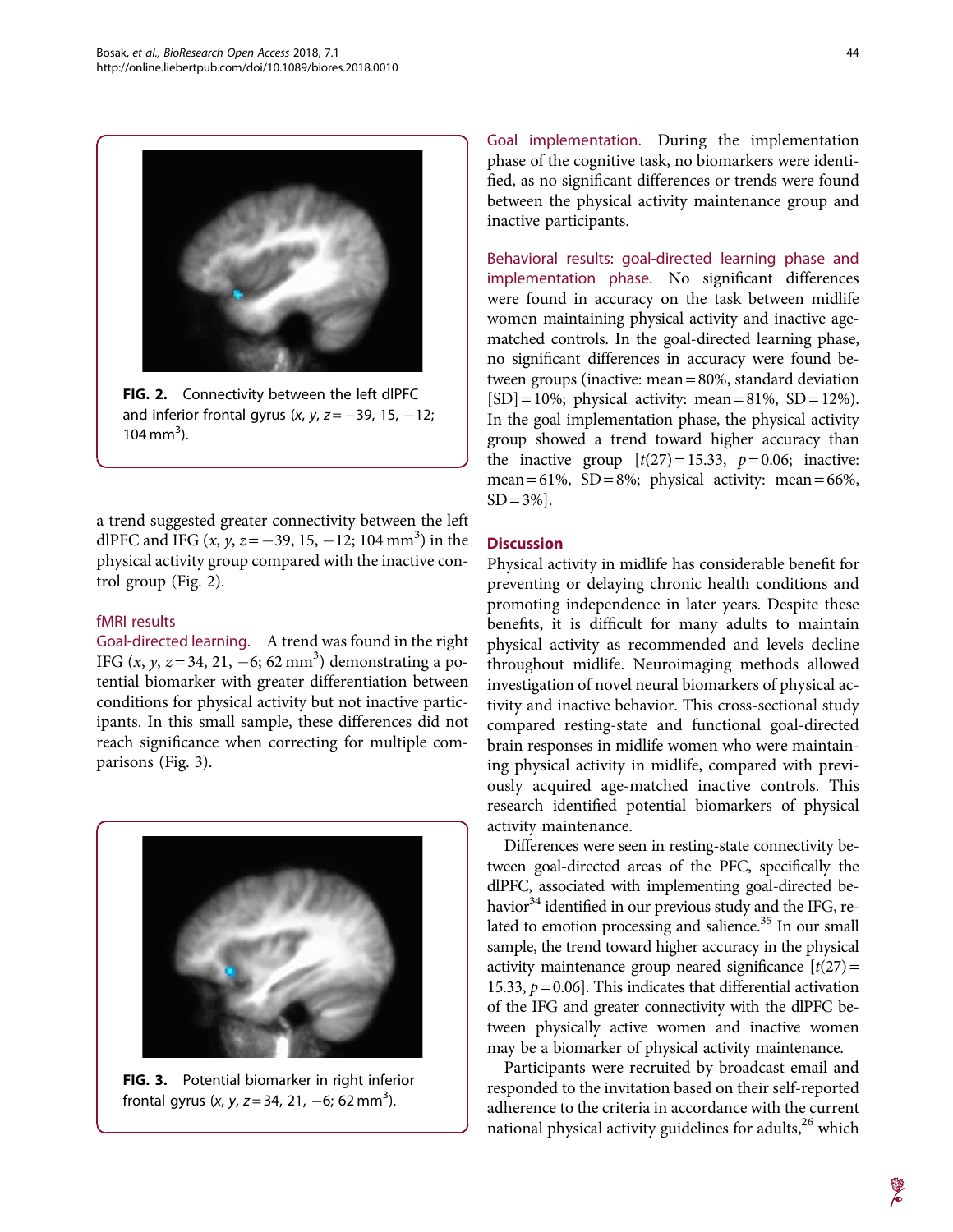

FIG. 2. Connectivity between the left dlPFC and inferior frontal gyrus (x, y,  $z = -39$ , 15,  $-12$ ;  $104 \text{ mm}^3$ ).

a trend suggested greater connectivity between the left dlPFC and IFG  $(x, y, z = -39, 15, -12, 104 \text{ mm}^3)$  in the physical activity group compared with the inactive control group (Fig. 2).

#### fMRI results

Goal-directed learning. A trend was found in the right IFG  $(x, y, z = 34, 21, -6, 62 \text{ mm}^3)$  demonstrating a potential biomarker with greater differentiation between conditions for physical activity but not inactive participants. In this small sample, these differences did not reach significance when correcting for multiple comparisons (Fig. 3).



FIG. 3. Potential biomarker in right inferior frontal gyrus (x, y, z = 34, 21,  $-6$ ; 62 mm<sup>3</sup>).

Goal implementation. During the implementation phase of the cognitive task, no biomarkers were identified, as no significant differences or trends were found between the physical activity maintenance group and inactive participants.

Behavioral results: goal-directed learning phase and implementation phase. No significant differences were found in accuracy on the task between midlife women maintaining physical activity and inactive agematched controls. In the goal-directed learning phase, no significant differences in accuracy were found between groups (inactive: mean = 80%, standard deviation  $[SD] = 10\%$ ; physical activity: mean = 81%,  $SD = 12\%$ ). In the goal implementation phase, the physical activity group showed a trend toward higher accuracy than the inactive group  $[t(27) = 15.33, p = 0.06;$  inactive: mean =  $61\%$ , SD =  $8\%$ ; physical activity: mean =  $66\%$ ,  $SD = 3\%$ ].

#### **Discussion**

Physical activity in midlife has considerable benefit for preventing or delaying chronic health conditions and promoting independence in later years. Despite these benefits, it is difficult for many adults to maintain physical activity as recommended and levels decline throughout midlife. Neuroimaging methods allowed investigation of novel neural biomarkers of physical activity and inactive behavior. This cross-sectional study compared resting-state and functional goal-directed brain responses in midlife women who were maintaining physical activity in midlife, compared with previously acquired age-matched inactive controls. This research identified potential biomarkers of physical activity maintenance.

Differences were seen in resting-state connectivity between goal-directed areas of the PFC, specifically the dlPFC, associated with implementing goal-directed behavior<sup>34</sup> identified in our previous study and the IFG, related to emotion processing and salience.<sup>35</sup> In our small sample, the trend toward higher accuracy in the physical activity maintenance group neared significance  $[t(27) =$ 15.33,  $p = 0.06$ ]. This indicates that differential activation of the IFG and greater connectivity with the dlPFC between physically active women and inactive women may be a biomarker of physical activity maintenance.

Participants were recruited by broadcast email and responded to the invitation based on their self-reported adherence to the criteria in accordance with the current national physical activity guidelines for adults,<sup>26</sup> which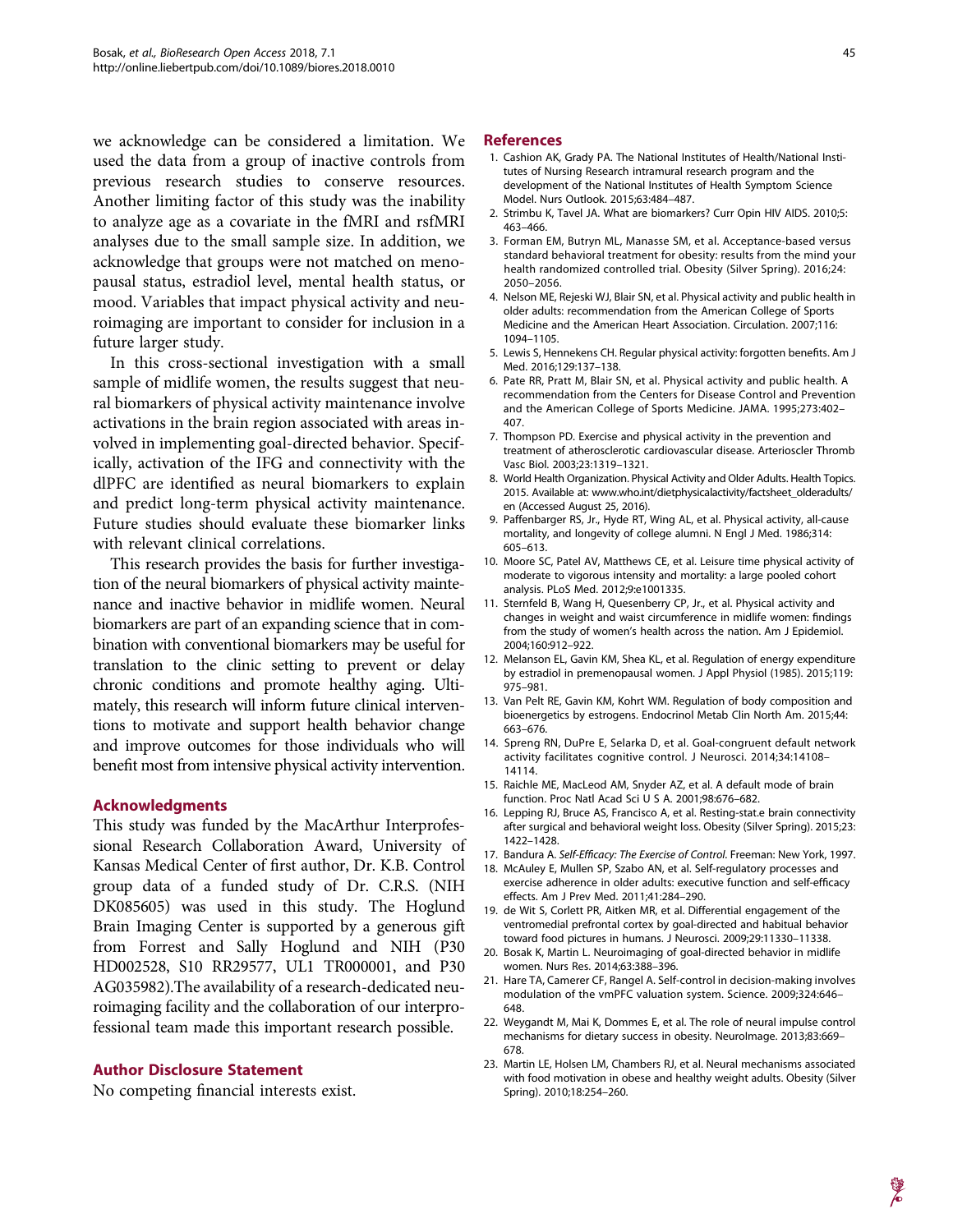we acknowledge can be considered a limitation. We used the data from a group of inactive controls from previous research studies to conserve resources. Another limiting factor of this study was the inability to analyze age as a covariate in the fMRI and rsfMRI analyses due to the small sample size. In addition, we acknowledge that groups were not matched on menopausal status, estradiol level, mental health status, or mood. Variables that impact physical activity and neuroimaging are important to consider for inclusion in a future larger study.

In this cross-sectional investigation with a small sample of midlife women, the results suggest that neural biomarkers of physical activity maintenance involve activations in the brain region associated with areas involved in implementing goal-directed behavior. Specifically, activation of the IFG and connectivity with the dlPFC are identified as neural biomarkers to explain and predict long-term physical activity maintenance. Future studies should evaluate these biomarker links with relevant clinical correlations.

This research provides the basis for further investigation of the neural biomarkers of physical activity maintenance and inactive behavior in midlife women. Neural biomarkers are part of an expanding science that in combination with conventional biomarkers may be useful for translation to the clinic setting to prevent or delay chronic conditions and promote healthy aging. Ultimately, this research will inform future clinical interventions to motivate and support health behavior change and improve outcomes for those individuals who will benefit most from intensive physical activity intervention.

#### Acknowledgments

This study was funded by the MacArthur Interprofessional Research Collaboration Award, University of Kansas Medical Center of first author, Dr. K.B. Control group data of a funded study of Dr. C.R.S. (NIH DK085605) was used in this study. The Hoglund Brain Imaging Center is supported by a generous gift from Forrest and Sally Hoglund and NIH (P30 HD002528, S10 RR29577, UL1 TR000001, and P30 AG035982).The availability of a research-dedicated neuroimaging facility and the collaboration of our interprofessional team made this important research possible.

#### Author Disclosure Statement

No competing financial interests exist.

#### References

- 1. Cashion AK, Grady PA. The National Institutes of Health/National Institutes of Nursing Research intramural research program and the development of the National Institutes of Health Symptom Science Model. Nurs Outlook. 2015;63:484–487.
- 2. Strimbu K, Tavel JA. What are biomarkers? Curr Opin HIV AIDS. 2010;5: 463–466.
- 3. Forman EM, Butryn ML, Manasse SM, et al. Acceptance-based versus standard behavioral treatment for obesity: results from the mind your health randomized controlled trial. Obesity (Silver Spring). 2016;24: 2050–2056.
- 4. Nelson ME, Rejeski WJ, Blair SN, et al. Physical activity and public health in older adults: recommendation from the American College of Sports Medicine and the American Heart Association. Circulation. 2007;116: 1094–1105.
- 5. Lewis S, Hennekens CH. Regular physical activity: forgotten benefits. Am J Med. 2016;129:137–138.
- 6. Pate RR, Pratt M, Blair SN, et al. Physical activity and public health. A recommendation from the Centers for Disease Control and Prevention and the American College of Sports Medicine. JAMA. 1995;273:402– 407.
- 7. Thompson PD. Exercise and physical activity in the prevention and treatment of atherosclerotic cardiovascular disease. Arterioscler Thromb Vasc Biol. 2003;23:1319–1321.
- 8. World Health Organization. Physical Activity and Older Adults. Health Topics. 2015. Available at: www.who.int/dietphysicalactivity/factsheet\_olderadults/ en (Accessed August 25, 2016).
- 9. Paffenbarger RS, Jr., Hyde RT, Wing AL, et al. Physical activity, all-cause mortality, and longevity of college alumni. N Engl J Med. 1986;314: 605–613.
- 10. Moore SC, Patel AV, Matthews CE, et al. Leisure time physical activity of moderate to vigorous intensity and mortality: a large pooled cohort analysis. PLoS Med. 2012;9:e1001335.
- 11. Sternfeld B, Wang H, Quesenberry CP, Jr., et al. Physical activity and changes in weight and waist circumference in midlife women: findings from the study of women's health across the nation. Am J Epidemiol. 2004;160:912–922.
- 12. Melanson EL, Gavin KM, Shea KL, et al. Regulation of energy expenditure by estradiol in premenopausal women. J Appl Physiol (1985). 2015;119: 975–981.
- 13. Van Pelt RE, Gavin KM, Kohrt WM. Regulation of body composition and bioenergetics by estrogens. Endocrinol Metab Clin North Am. 2015;44: 663–676.
- 14. Spreng RN, DuPre E, Selarka D, et al. Goal-congruent default network activity facilitates cognitive control. J Neurosci. 2014;34:14108– 14114.
- 15. Raichle ME, MacLeod AM, Snyder AZ, et al. A default mode of brain function. Proc Natl Acad Sci U S A. 2001;98:676–682.
- 16. Lepping RJ, Bruce AS, Francisco A, et al. Resting-stat.e brain connectivity after surgical and behavioral weight loss. Obesity (Silver Spring). 2015;23: 1422–1428.
- 17. Bandura A. Self-Efficacy: The Exercise of Control. Freeman: New York, 1997.
- 18. McAuley E, Mullen SP, Szabo AN, et al. Self-regulatory processes and exercise adherence in older adults: executive function and self-efficacy effects. Am J Prev Med. 2011;41:284–290.
- 19. de Wit S, Corlett PR, Aitken MR, et al. Differential engagement of the ventromedial prefrontal cortex by goal-directed and habitual behavior toward food pictures in humans. J Neurosci. 2009;29:11330–11338.
- 20. Bosak K, Martin L. Neuroimaging of goal-directed behavior in midlife women. Nurs Res. 2014;63:388–396.
- 21. Hare TA, Camerer CF, Rangel A. Self-control in decision-making involves modulation of the vmPFC valuation system. Science. 2009;324:646– 648.
- 22. Weygandt M, Mai K, Dommes E, et al. The role of neural impulse control mechanisms for dietary success in obesity. NeuroImage. 2013;83:669-678.
- 23. Martin LE, Holsen LM, Chambers RJ, et al. Neural mechanisms associated with food motivation in obese and healthy weight adults. Obesity (Silver Spring). 2010;18:254–260.